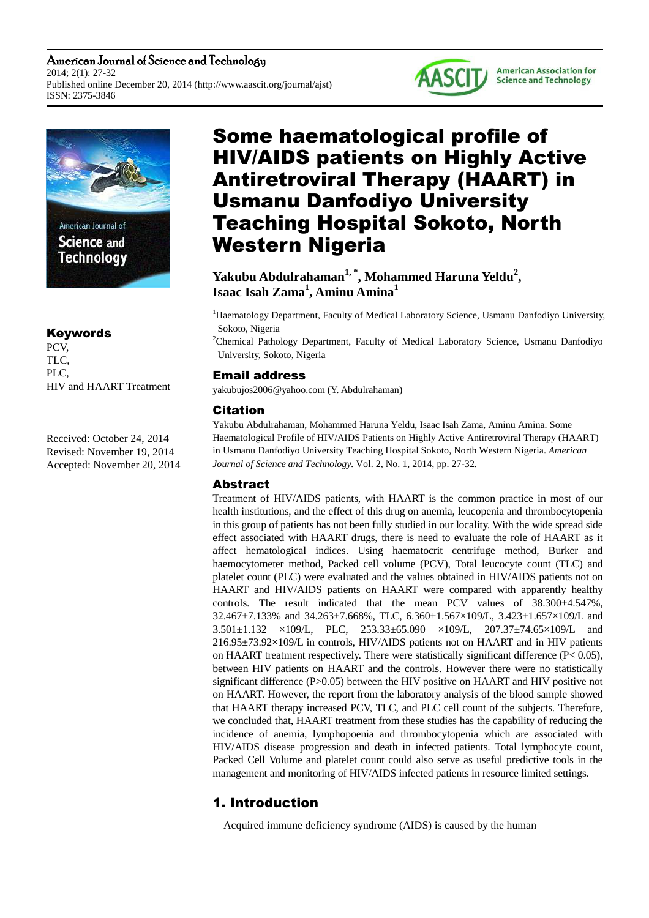American Journal of Science and Technology 2014; 2(1): 27-32 Published online December 20, 2014 (http://www.aascit.org/journal/ajst) ISSN: 2375-3846





Science and **Technology** 

## Keywords

PCV, TLC, PLC, HIV and HAART Treatment

Received: October 24, 2014 Revised: November 19, 2014 Accepted: November 20, 2014

# Some haematological profile of HIV/AIDS patients on Highly Active Antiretroviral Therapy (HAART) in Usmanu Danfodiyo University Teaching Hospital Sokoto, North Western Nigeria

## **Yakubu Abdulrahaman1, \*, Mohammed Haruna Yeldu<sup>2</sup> , Isaac Isah Zama<sup>1</sup> , Aminu Amina<sup>1</sup>**

<sup>1</sup>Haematology Department, Faculty of Medical Laboratory Science, Usmanu Danfodiyo University, Sokoto, Nigeria

<sup>2</sup>Chemical Pathology Department, Faculty of Medical Laboratory Science, Usmanu Danfodiyo University, Sokoto, Nigeria

## Email address

yakubujos2006@yahoo.com (Y. Abdulrahaman)

## Citation

Yakubu Abdulrahaman, Mohammed Haruna Yeldu, Isaac Isah Zama, Aminu Amina. Some Haematological Profile of HIV/AIDS Patients on Highly Active Antiretroviral Therapy (HAART) in Usmanu Danfodiyo University Teaching Hospital Sokoto, North Western Nigeria. *American Journal of Science and Technology.* Vol. 2, No. 1, 2014, pp. 27-32.

## Abstract

Treatment of HIV/AIDS patients, with HAART is the common practice in most of our health institutions, and the effect of this drug on anemia, leucopenia and thrombocytopenia in this group of patients has not been fully studied in our locality. With the wide spread side effect associated with HAART drugs, there is need to evaluate the role of HAART as it affect hematological indices. Using haematocrit centrifuge method, Burker and haemocytometer method, Packed cell volume (PCV), Total leucocyte count (TLC) and platelet count (PLC) were evaluated and the values obtained in HIV/AIDS patients not on HAART and HIV/AIDS patients on HAART were compared with apparently healthy controls. The result indicated that the mean PCV values of 38.300±4.547%, 32.467±7.133% and 34.263±7.668%, TLC, 6.360±1.567×109/L, 3.423±1.657×109/L and 3.501±1.132 ×109/L, PLC, 253.33±65.090 ×109/L, 207.37±74.65×109/L and 216.95±73.92×109/L in controls, HIV/AIDS patients not on HAART and in HIV patients on HAART treatment respectively. There were statistically significant difference ( $P < 0.05$ ), between HIV patients on HAART and the controls. However there were no statistically significant difference (P>0.05) between the HIV positive on HAART and HIV positive not on HAART. However, the report from the laboratory analysis of the blood sample showed that HAART therapy increased PCV, TLC, and PLC cell count of the subjects. Therefore, we concluded that, HAART treatment from these studies has the capability of reducing the incidence of anemia, lymphopoenia and thrombocytopenia which are associated with HIV/AIDS disease progression and death in infected patients. Total lymphocyte count, Packed Cell Volume and platelet count could also serve as useful predictive tools in the management and monitoring of HIV/AIDS infected patients in resource limited settings.

## 1. Introduction

Acquired immune deficiency syndrome (AIDS) is caused by the human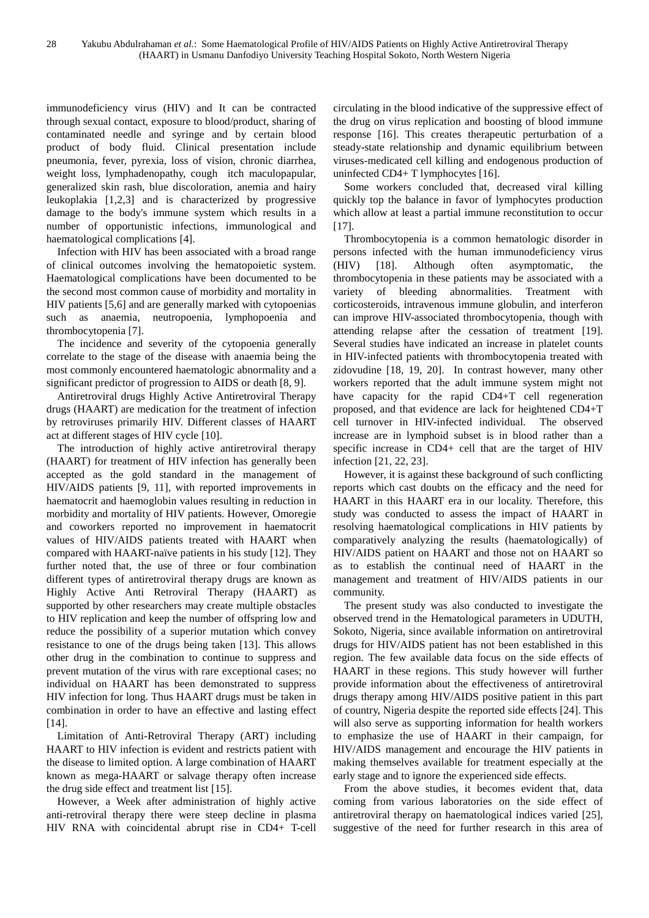immunodeficiency virus (HIV) and It can be contracted through sexual contact, exposure to blood/product, sharing of contaminated needle and syringe and by certain blood product of body fluid. Clinical presentation include pneumonia, fever, pyrexia, loss of vision, chronic diarrhea, weight loss, lymphadenopathy, cough itch maculopapular, generalized skin rash, blue discoloration, anemia and hairy leukoplakia [1,2,3] and is characterized by progressive damage to the body's immune system which results in a number of opportunistic infections, immunological and haematological complications [4].

Infection with HIV has been associated with a broad range of clinical outcomes involving the hematopoietic system. Haematological complications have been documented to be the second most common cause of morbidity and mortality in HIV patients [5,6] and are generally marked with cytopoenias such as anaemia, neutropoenia, lymphopoenia and thrombocytopenia [7].

The incidence and severity of the cytopoenia generally correlate to the stage of the disease with anaemia being the most commonly encountered haematologic abnormality and a significant predictor of progression to AIDS or death [8, 9].

Antiretroviral drugs Highly Active Antiretroviral Therapy drugs (HAART) are medication for the treatment of infection by retroviruses primarily HIV. Different classes of HAART act at different stages of HIV cycle [10].

The introduction of highly active antiretroviral therapy (HAART) for treatment of HIV infection has generally been accepted as the gold standard in the management of HIV/AIDS patients [9, 11], with reported improvements in haematocrit and haemoglobin values resulting in reduction in morbidity and mortality of HIV patients. However, Omoregie and coworkers reported no improvement in haematocrit values of HIV/AIDS patients treated with HAART when compared with HAART-naïve patients in his study [12]. They further noted that, the use of three or four combination different types of antiretroviral therapy drugs are known as Highly Active Anti Retroviral Therapy (HAART) as supported by other researchers may create multiple obstacles to HIV replication and keep the number of offspring low and reduce the possibility of a superior mutation which convey resistance to one of the drugs being taken [13]. This allows other drug in the combination to continue to suppress and prevent mutation of the virus with rare exceptional cases; no individual on HAART has been demonstrated to suppress HIV infection for long. Thus HAART drugs must be taken in combination in order to have an effective and lasting effect  $[14]$ .

Limitation of Anti-Retroviral Therapy (ART) including HAART to HIV infection is evident and restricts patient with the disease to limited option. A large combination of HAART known as mega-HAART or salvage therapy often increase the drug side effect and treatment list [15].

However, a Week after administration of highly active anti-retroviral therapy there were steep decline in plasma HIV RNA with coincidental abrupt rise in CD4+ T-cell circulating in the blood indicative of the suppressive effect of the drug on virus replication and boosting of blood immune response [16]. This creates therapeutic perturbation of a steady-state relationship and dynamic equilibrium between viruses-medicated cell killing and endogenous production of uninfected CD4+ T lymphocytes [16].

Some workers concluded that, decreased viral killing quickly top the balance in favor of lymphocytes production which allow at least a partial immune reconstitution to occur [17].

Thrombocytopenia is a common hematologic disorder in persons infected with the human immunodeficiency virus (HIV) [18]. Although often asymptomatic, the thrombocytopenia in these patients may be associated with a variety of bleeding abnormalities. Treatment with corticosteroids, intravenous immune globulin, and interferon can improve HIV-associated thrombocytopenia, though with attending relapse after the cessation of treatment [19]. Several studies have indicated an increase in platelet counts in HIV-infected patients with thrombocytopenia treated with zidovudine [18, 19, 20]. In contrast however, many other workers reported that the adult immune system might not have capacity for the rapid CD4+T cell regeneration proposed, and that evidence are lack for heightened CD4+T cell turnover in HIV-infected individual. The observed increase are in lymphoid subset is in blood rather than a specific increase in CD4+ cell that are the target of HIV infection [21, 22, 23].

However, it is against these background of such conflicting reports which cast doubts on the efficacy and the need for HAART in this HAART era in our locality. Therefore, this study was conducted to assess the impact of HAART in resolving haematological complications in HIV patients by comparatively analyzing the results (haematologically) of HIV/AIDS patient on HAART and those not on HAART so as to establish the continual need of HAART in the management and treatment of HIV/AIDS patients in our community.

The present study was also conducted to investigate the observed trend in the Hematological parameters in UDUTH, Sokoto, Nigeria, since available information on antiretroviral drugs for HIV/AIDS patient has not been established in this region. The few available data focus on the side effects of HAART in these regions. This study however will further provide information about the effectiveness of antiretroviral drugs therapy among HIV/AIDS positive patient in this part of country, Nigeria despite the reported side effects [24]. This will also serve as supporting information for health workers to emphasize the use of HAART in their campaign, for HIV/AIDS management and encourage the HIV patients in making themselves available for treatment especially at the early stage and to ignore the experienced side effects.

From the above studies, it becomes evident that, data coming from various laboratories on the side effect of antiretroviral therapy on haematological indices varied [25], suggestive of the need for further research in this area of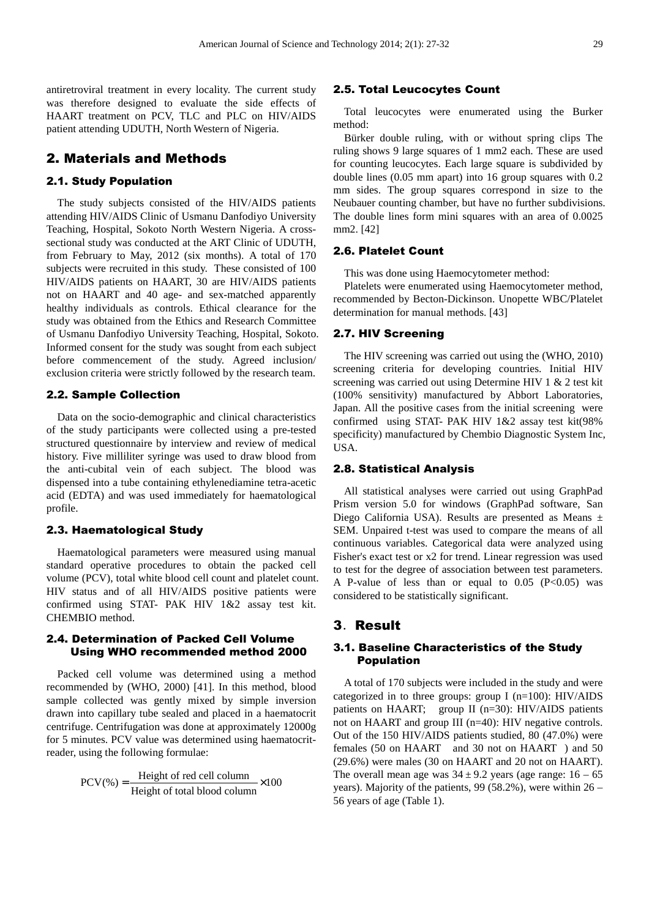antiretroviral treatment in every locality. The current study was therefore designed to evaluate the side effects of HAART treatment on PCV, TLC and PLC on HIV/AIDS patient attending UDUTH, North Western of Nigeria.

#### 2. Materials and Methods

#### 2.1. Study Population

The study subjects consisted of the HIV/AIDS patients attending HIV/AIDS Clinic of Usmanu Danfodiyo University Teaching, Hospital, Sokoto North Western Nigeria. A crosssectional study was conducted at the ART Clinic of UDUTH, from February to May, 2012 (six months). A total of 170 subjects were recruited in this study. These consisted of 100 HIV/AIDS patients on HAART, 30 are HIV/AIDS patients not on HAART and 40 age- and sex-matched apparently healthy individuals as controls. Ethical clearance for the study was obtained from the Ethics and Research Committee of Usmanu Danfodiyo University Teaching, Hospital, Sokoto. Informed consent for the study was sought from each subject before commencement of the study. Agreed inclusion/ exclusion criteria were strictly followed by the research team.

#### 2.2. Sample Collection

Data on the socio-demographic and clinical characteristics of the study participants were collected using a pre-tested structured questionnaire by interview and review of medical history. Five milliliter syringe was used to draw blood from the anti-cubital vein of each subject. The blood was dispensed into a tube containing ethylenediamine tetra-acetic acid (EDTA) and was used immediately for haematological profile.

#### 2.3. Haematological Study

Haematological parameters were measured using manual standard operative procedures to obtain the packed cell volume (PCV), total white blood cell count and platelet count. HIV status and of all HIV/AIDS positive patients were confirmed using STAT- PAK HIV 1&2 assay test kit. CHEMBIO method.

#### 2.4. Determination of Packed Cell Volume Using WHO recommended method 2000

Packed cell volume was determined using a method recommended by (WHO, 2000) [41]. In this method, blood sample collected was gently mixed by simple inversion drawn into capillary tube sealed and placed in a haematocrit centrifuge. Centrifugation was done at approximately 12000g for 5 minutes. PCV value was determined using haematocritreader, using the following formulae:

$$
PCV(\%) = \frac{Height \ of \ red \ cell \ column}{Height \ of \ total \ blood \ column} \times 100
$$

#### 2.5. Total Leucocytes Count

Total leucocytes were enumerated using the Burker method:

Bürker double ruling, with or without spring clips The ruling shows 9 large squares of 1 mm2 each. These are used for counting leucocytes. Each large square is subdivided by double lines (0.05 mm apart) into 16 group squares with 0.2 mm sides. The group squares correspond in size to the Neubauer counting chamber, but have no further subdivisions. The double lines form mini squares with an area of 0.0025 mm2. [42]

#### 2.6. Platelet Count

This was done using Haemocytometer method:

Platelets were enumerated using Haemocytometer method, recommended by Becton-Dickinson. Unopette WBC/Platelet determination for manual methods. [43]

#### 2.7. HIV Screening

The HIV screening was carried out using the (WHO, 2010) screening criteria for developing countries. Initial HIV screening was carried out using Determine HIV 1 & 2 test kit (100% sensitivity) manufactured by Abbort Laboratories, Japan. All the positive cases from the initial screening were confirmed using STAT- PAK HIV 1&2 assay test kit(98% specificity) manufactured by Chembio Diagnostic System Inc, USA.

#### 2.8. Statistical Analysis

All statistical analyses were carried out using GraphPad Prism version 5.0 for windows (GraphPad software, San Diego California USA). Results are presented as Means ± SEM. Unpaired t-test was used to compare the means of all continuous variables. Categorical data were analyzed using Fisher's exact test or x2 for trend. Linear regression was used to test for the degree of association between test parameters. A P-value of less than or equal to  $0.05$  (P<0.05) was considered to be statistically significant.

#### 3.Result

#### 3.1. Baseline Characteristics of the Study Population

A total of 170 subjects were included in the study and were categorized in to three groups: group I (n=100): HIV/AIDS patients on HAART; group II (n=30): HIV/AIDS patients not on HAART and group III (n=40): HIV negative controls. Out of the 150 HIV/AIDS patients studied, 80 (47.0%) were females (50 on HAART and 30 not on HAART ) and 50 (29.6%) were males (30 on HAART and 20 not on HAART). The overall mean age was  $34 \pm 9.2$  years (age range:  $16 - 65$ ) years). Majority of the patients, 99 (58.2%), were within 26 – 56 years of age (Table 1).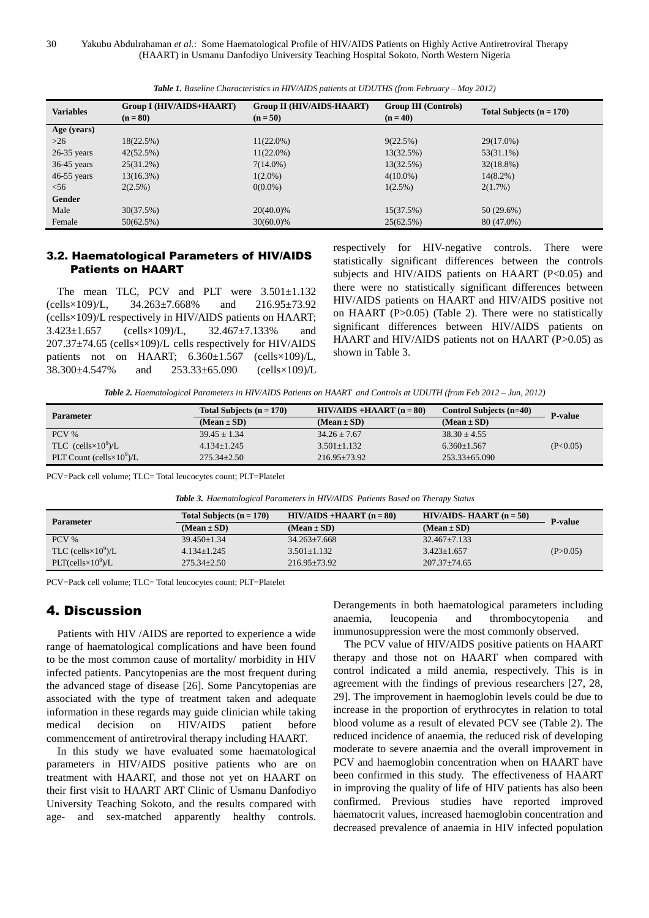| <b>Variables</b> | <b>Group I (HIV/AIDS+HAART)</b><br>$(n = 80)$ | <b>Group II (HIV/AIDS-HAART)</b><br>$(n = 50)$ | <b>Group III</b> (Controls)<br>$(n = 40)$ | Total Subjects $(n = 170)$ |
|------------------|-----------------------------------------------|------------------------------------------------|-------------------------------------------|----------------------------|
| Age (years)      |                                               |                                                |                                           |                            |
| $>26$            | 18(22.5%)                                     | $11(22.0\%)$                                   | 9(22.5%)                                  | 29(17.0%)                  |
| $26-35$ years    | 42(52.5%)                                     | $11(22.0\%)$                                   | 13(32.5%)                                 | $53(31.1\%)$               |
| $36-45$ years    | $25(31.2\%)$                                  | $7(14.0\%)$                                    | 13(32.5%)                                 | $32(18.8\%)$               |
| $46-55$ years    | $13(16.3\%)$                                  | $1(2.0\%)$                                     | $4(10.0\%)$                               | $14(8.2\%)$                |
| $<$ 56           | $2(2.5\%)$                                    | $0(0.0\%)$                                     | $1(2.5\%)$                                | $2(1.7\%)$                 |
| Gender           |                                               |                                                |                                           |                            |
| Male             | 30(37.5%)                                     | 20(40.0)%                                      | 15(37.5%)                                 | $50(29.6\%)$               |
| Female           | 50(62.5%)                                     | $30(60.0)\%$                                   | 25(62.5%)                                 | 80 (47.0%)                 |

*Table 1. Baseline Characteristics in HIV/AIDS patients at UDUTHS (from February – May 2012)* 

#### 3.2. Haematological Parameters of HIV/AIDS Patients on HAART

The mean TLC, PCV and PLT were  $3.501 \pm 1.132$ (cells×109)/L, 34.263±7.668% and 216.95±73.92 (cells×109)/L respectively in HIV/AIDS patients on HAART; 3.423±1.657 (cells×109)/L, 32.467±7.133% and 207.37±74.65 (cells×109)/L cells respectively for HIV/AIDS patients not on HAART;  $6.360 \pm 1.567$  (cells $\times$ 109)/L, 38.300±4.547% and 253.33±65.090 (cells×109)/L respectively for HIV-negative controls. There were statistically significant differences between the controls subjects and HIV/AIDS patients on HAART (P<0.05) and there were no statistically significant differences between HIV/AIDS patients on HAART and HIV/AIDS positive not on HAART (P>0.05) (Table 2). There were no statistically significant differences between HIV/AIDS patients on HAART and HIV/AIDS patients not on HAART (P>0.05) as shown in Table 3.

*Table 2. Haematological Parameters in HIV/AIDS Patients on HAART and Controls at UDUTH (from Feb 2012 – Jun, 2012)* 

| <b>Parameter</b>                   | Total Subjects $(n = 170)$ | $HIV/AIDS + HAART (n = 80)$ | Control Subjects $(n=40)$ | <b>P-value</b> |  |
|------------------------------------|----------------------------|-----------------------------|---------------------------|----------------|--|
|                                    | $(Mean \pm SD)$            | $(Mean \pm SD)$             | $(Mean \pm SD)$           |                |  |
| $PCV$ %                            | $39.45 + 1.34$             | $34.26 + 7.67$              | $38.30 + 4.55$            |                |  |
| TLC (cells $\times 10^9$ )/L       | $4.134 \pm 1.245$          | $3.501 + 1.132$             | $6.360 + 1.567$           | (P<0.05)       |  |
| PLT Count (cells $\times 10^9$ )/L | $275.34 + 2.50$            | $216.95 + 73.92$            | $253.33+65.090$           |                |  |

PCV=Pack cell volume; TLC= Total leucocytes count; PLT=Platelet

*Table 3. Haematological Parameters in HIV/AIDS Patients Based on Therapy Status* 

| <b>Parameter</b>                       | Total Subjects $(n = 170)$ | $HIV/AIDS + HAART (n = 80)$ | <b>HIV/AIDS- HAART</b> $(n = 50)$ | <b>P-value</b> |
|----------------------------------------|----------------------------|-----------------------------|-----------------------------------|----------------|
|                                        | $(Mean \pm SD)$            | $(Mean \pm SD)$             | $(Mean \pm SD)$                   |                |
| $PCV\%$                                | $39.450 + 1.34$            | $34.263 + 7.668$            | $32.467 \pm 7.133$                |                |
| TLC (cells $\times 10^9$ )/L           | $4.134 + 1.245$            | $3.501 + 1.132$             | $3.423 \pm 1.657$                 | (P>0.05)       |
| PLT(cells $\times$ 10 <sup>9</sup> )/L | $275.34 \pm 2.50$          | $216.95 + 73.92$            | $207.37 + 74.65$                  |                |

PCV=Pack cell volume; TLC= Total leucocytes count; PLT=Platelet

#### 4. Discussion

Patients with HIV /AIDS are reported to experience a wide range of haematological complications and have been found to be the most common cause of mortality/ morbidity in HIV infected patients. Pancytopenias are the most frequent during the advanced stage of disease [26]. Some Pancytopenias are associated with the type of treatment taken and adequate information in these regards may guide clinician while taking medical decision on HIV/AIDS patient before commencement of antiretroviral therapy including HAART.

In this study we have evaluated some haematological parameters in HIV/AIDS positive patients who are on treatment with HAART, and those not yet on HAART on their first visit to HAART ART Clinic of Usmanu Danfodiyo University Teaching Sokoto, and the results compared with age- and sex-matched apparently healthy controls. Derangements in both haematological parameters including anaemia, leucopenia and thrombocytopenia and immunosuppression were the most commonly observed.

The PCV value of HIV/AIDS positive patients on HAART therapy and those not on HAART when compared with control indicated a mild anemia, respectively. This is in agreement with the findings of previous researchers [27, 28, 29]. The improvement in haemoglobin levels could be due to increase in the proportion of erythrocytes in relation to total blood volume as a result of elevated PCV see (Table 2). The reduced incidence of anaemia, the reduced risk of developing moderate to severe anaemia and the overall improvement in PCV and haemoglobin concentration when on HAART have been confirmed in this study. The effectiveness of HAART in improving the quality of life of HIV patients has also been confirmed. Previous studies have reported improved haematocrit values, increased haemoglobin concentration and decreased prevalence of anaemia in HIV infected population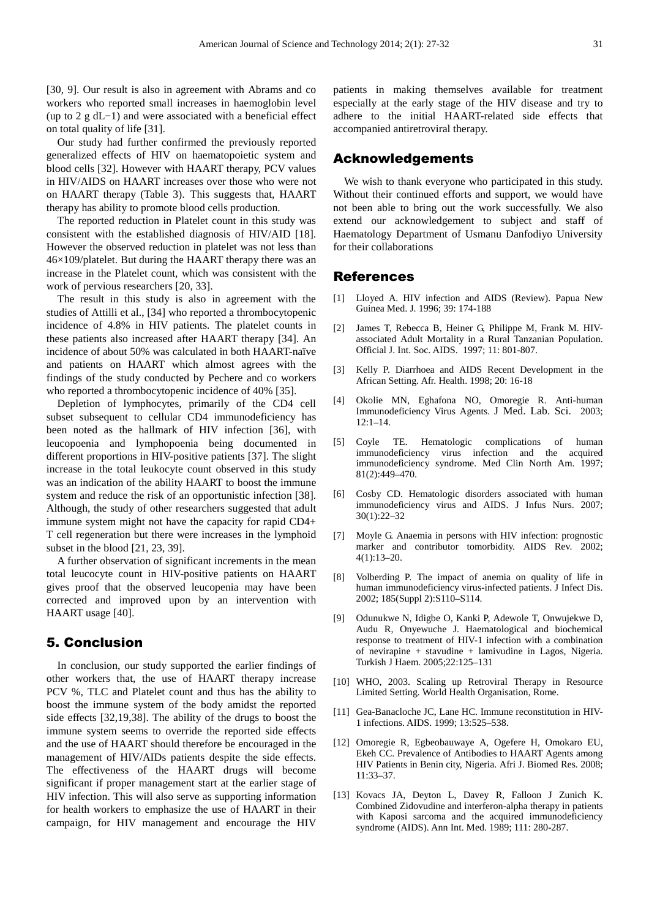[30, 9]. Our result is also in agreement with Abrams and co workers who reported small increases in haemoglobin level (up to 2 g dL−1) and were associated with a beneficial effect on total quality of life [31].

Our study had further confirmed the previously reported generalized effects of HIV on haematopoietic system and blood cells [32]. However with HAART therapy, PCV values in HIV/AIDS on HAART increases over those who were not on HAART therapy (Table 3). This suggests that, HAART therapy has ability to promote blood cells production.

The reported reduction in Platelet count in this study was consistent with the established diagnosis of HIV/AID [18]. However the observed reduction in platelet was not less than 46×109/platelet. But during the HAART therapy there was an increase in the Platelet count, which was consistent with the work of pervious researchers [20, 33].

The result in this study is also in agreement with the studies of Attilli et al., [34] who reported a thrombocytopenic incidence of 4.8% in HIV patients. The platelet counts in these patients also increased after HAART therapy [34]. An incidence of about 50% was calculated in both HAART-naïve and patients on HAART which almost agrees with the findings of the study conducted by Pechere and co workers who reported a thrombocytopenic incidence of 40% [35].

Depletion of lymphocytes, primarily of the CD4 cell subset subsequent to cellular CD4 immunodeficiency has been noted as the hallmark of HIV infection [36], with leucopoenia and lymphopoenia being documented in different proportions in HIV-positive patients [37]. The slight increase in the total leukocyte count observed in this study was an indication of the ability HAART to boost the immune system and reduce the risk of an opportunistic infection [38]. Although, the study of other researchers suggested that adult immune system might not have the capacity for rapid CD4+ T cell regeneration but there were increases in the lymphoid subset in the blood [21, 23, 39].

A further observation of significant increments in the mean total leucocyte count in HIV-positive patients on HAART gives proof that the observed leucopenia may have been corrected and improved upon by an intervention with HAART usage [40].

### 5. Conclusion

In conclusion, our study supported the earlier findings of other workers that, the use of HAART therapy increase PCV %, TLC and Platelet count and thus has the ability to boost the immune system of the body amidst the reported side effects [32,19,38]. The ability of the drugs to boost the immune system seems to override the reported side effects and the use of HAART should therefore be encouraged in the management of HIV/AIDs patients despite the side effects. The effectiveness of the HAART drugs will become significant if proper management start at the earlier stage of HIV infection. This will also serve as supporting information for health workers to emphasize the use of HAART in their campaign, for HIV management and encourage the HIV

patients in making themselves available for treatment especially at the early stage of the HIV disease and try to adhere to the initial HAART-related side effects that accompanied antiretroviral therapy.

#### Acknowledgements

We wish to thank everyone who participated in this study. Without their continued efforts and support, we would have not been able to bring out the work successfully. We also extend our acknowledgement to subject and staff of Haematology Department of Usmanu Danfodiyo University for their collaborations

#### References

- [1] Lloyed A. HIV infection and AIDS (Review). Papua New Guinea Med. J. 1996; 39: 174-188
- [2] James T, Rebecca B, Heiner G, Philippe M, Frank M. HIVassociated Adult Mortality in a Rural Tanzanian Population. Official J. Int. Soc. AIDS. 1997; 11: 801-807.
- [3] Kelly P. Diarrhoea and AIDS Recent Development in the African Setting. Afr. Health. 1998; 20: 16-18
- [4] Okolie MN, Eghafona NO, Omoregie R. Anti-human Immunodeficiency Virus Agents. J Med. Lab. Sci. 2003; 12:1–14.
- [5] Coyle TE. Hematologic complications of human immunodeficiency virus infection and the acquired immunodeficiency syndrome. Med Clin North Am. 1997; 81(2):449–470.
- [6] Cosby CD. Hematologic disorders associated with human immunodeficiency virus and AIDS. J Infus Nurs. 2007; 30(1):22–32
- [7] Moyle G. Anaemia in persons with HIV infection: prognostic marker and contributor tomorbidity. AIDS Rev. 2002; 4(1):13–20.
- [8] Volberding P. The impact of anemia on quality of life in human immunodeficiency virus-infected patients. J Infect Dis. 2002; 185(Suppl 2):S110–S114.
- [9] Odunukwe N, Idigbe O, Kanki P, Adewole T, Onwujekwe D, Audu R, Onyewuche J. Haematological and biochemical response to treatment of HIV-1 infection with a combination of nevirapine  $+$  stavudine  $+$  lamivudine in Lagos, Nigeria. Turkish J Haem. 2005;22:125–131
- [10] WHO, 2003. Scaling up Retroviral Therapy in Resource Limited Setting. World Health Organisation, Rome.
- [11] Gea-Banacloche JC, Lane HC. Immune reconstitution in HIV-1 infections. AIDS. 1999; 13:525–538.
- [12] Omoregie R, Egbeobauwaye A, Ogefere H, Omokaro EU, Ekeh CC. Prevalence of Antibodies to HAART Agents among HIV Patients in Benin city, Nigeria. Afri J. Biomed Res. 2008; 11:33–37.
- [13] Kovacs JA, Deyton L, Davey R, Falloon J Zunich K. Combined Zidovudine and interferon-alpha therapy in patients with Kaposi sarcoma and the acquired immunodeficiency syndrome (AIDS). Ann Int. Med. 1989; 111: 280-287.